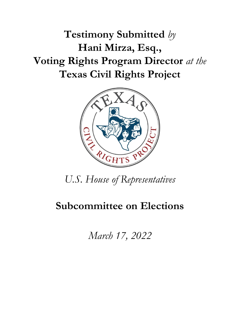**Testimony Submitted** *by* **Hani Mirza, Esq., Voting Rights Program Director** *at the* **Texas Civil Rights Project**



*U.S. House of Representatives* 

# **Subcommittee on Elections**

*March 17, 2022*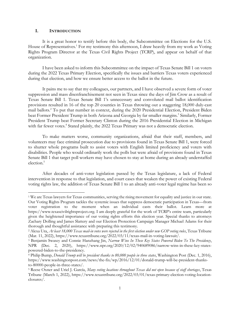#### **I. INTRODUCTION**

 $\overline{\phantom{a}}$ 

It is a great honor to testify before this body, the Subcommittee on Elections for the U.S. House of Representatives.<sup>1</sup> For my testimony this afternoon, I draw heavily from my work as Voting Rights Program Director at the Texas Civil Rights Project (TCRP), and appear on behalf of that organization.

I have been asked to inform this Subcommittee on the impact of Texas Senate Bill 1 on voters during the 2022 Texas Primary Election, specifically the issues and barriers Texas voters experienced during that election, and how we ensure better access to the ballot in the future.

It pains me to say that my colleagues, our partners, and I have observed a severe form of voter suppression and mass disenfranchisement not seen in Texas since the days of Jim Crow as a result of Texas Senate Bill 1. Texas Senate Bill 1's unnecessary and convoluted mail ballot identification provisions resulted in 16 of the top 20 counties in Texas throwing out a staggering 18,000 duly-cast mail ballots. <sup>2</sup> To put that number in context, during the 2020 Presidential Election, President Biden beat Former President Trump in both Arizona and Georgia by far smaller margins. 3 Similarly, Former President Trump beat Former Secretary Clinton during the 2016 Presidential Election in Michigan with far fewer votes.<sup>4</sup> Stated plainly, the 2022 Texas Primary was not a democratic election.

To make matters worse, community organizations, afraid that their staff, members, and volunteers may face criminal prosecution due to provisions found in Texas Senate Bill 1, were forced to shutter whole programs built to assist voters with English limited proficiency and voters with disabilities. People who would ordinarily work the polls but were afraid of provisions found in Texas Senate Bill 1 that target poll workers may have chosen to stay at home during an already understaffed election. 5

After decades of anti-voter legislation passed by the Texas legislature, a lack of Federal intervention in response to that legislation, and court cases that weaken the power of existing Federal voting rights law, the addition of Texas Senate Bill 1 to an already anti-voter legal regime has been so

<sup>1</sup> We are Texas lawyers for Texas communities, serving the rising movement for equality and justice in our state. Our Voting Rights Program tackles the systemic issues that suppress democratic participation in Texas—from voter registration to the moment when an individual casts their ballot. Learn more at https://www.texascivilrightsproject.org. I am deeply grateful for the work of TCRP's entire team, particularly given the heightened importance of our voting rights efforts this election year. Special thanks to attorneys Zachary Dolling and James Slattery and our Election Protection Campaign Manager Michael Adams for their thorough and thoughtful assistance with preparing this testimony.

<sup>2</sup> Alexa Ura, *At least 18,000 Texas mail-in votes were rejected in the first election under new GOP voting rules*, Texas Tribune (Mar. 11, 2022), https://www.texastribune.org/2022/03/11/texas-mail-in-voting-lawsuit/.

<sup>3</sup> Benjamin Swasey and Connie Hanzhang Jin, *Narrow Wins In These Key States Powered Biden To The Presidency*, NPR (Dec. 2, 2020), https://www.npr.org/2020/12/02/940689086/narrow-wins-in-these-key-statespowered-biden-to-the-presidency.

<sup>4</sup> Philip Bump, *Donald Trump will be president thanks to 80,000 people in three states*, Washington Post (Dec. 1, 2016), https://www.washingtonpost.com/news/the-fix/wp/2016/12/01/donald-trump-will-be-president-thanksto-80000-people-in-three-states/.

<sup>5</sup> Reese Oxner and Uriel J. García, *Many voting locations throughout Texas did not open because of staff shortages*, Texas Tribune (March 1, 2022), https://www.texastribune.org/2022/03/01/texas-primary-election-voting-locationclosures/.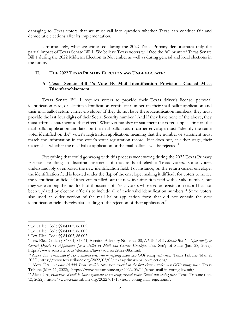damaging to Texas voters that we must call into question whether Texas can conduct fair and democratic elections after its implementation.

Unfortunately, what we witnessed during the 2022 Texas Primary demonstrates only the partial impact of Texas Senate Bill 1. We believe Texas voters will face the full brunt of Texas Senate Bill 1 during the 2022 Midterm Election in November as well as during general and local elections in the future.

### **II. THE 2022 TEXAS PRIMARY ELECTION WAS UNDEMOCRATIC**

## **A. Texas Senate Bill 1's Vote By Mail Identification Provisions Caused Mass Disenfranchisement**

Texas Senate Bill 1 requires voters to provide their Texas driver's license, personal identification card, or election identification certificate number on their mail ballot application and their mail ballot return carrier envelope.<sup>6</sup> If they do not have these identification numbers, they must provide the last four digits of their Social Security number.<sup>7</sup> And if they have none of the above, they must affirm a statement to that effect.<sup>8</sup> Whatever number or statement the voter supplies first on the mail ballot application and later on the mail ballot return carrier envelope must "identify the same voter identified on the" voter's registration application, meaning that the number or statement must match the information in the voter's voter registration record. If it does not, at either stage, their materials—whether the mail ballot application or the mail ballot—will be rejected.<sup>9</sup>

Everything that could go wrong with this process went wrong during the 2022 Texas Primary Election, resulting in disenfranchisement of thousands of eligible Texas voters. Some voters understandably overlooked the new identification field. For instance, on the return carrier envelope, the identification field is located under the flap of the envelope, making it difficult for voters to notice the identification field. <sup>10</sup> Other voters filled out the new identification field with a valid number, but they were among the hundreds of thousands of Texas voters whose voter registration record has not been updated by election officials to include all of their valid identification numbers.<sup>11</sup> Some voters also used an older version of the mail ballot application form that did not contain the new identification field, thereby also leading to the rejection of their application.<sup>12</sup>

<sup>6</sup> Tex. Elec. Code §§ 84.002, 86.002.

<sup>7</sup> Tex. Elec. Code §§ 84.002, 86.002.

<sup>8</sup> Tex. Elec. Code §§ 84.002, 86.002.

<sup>9</sup> Tex. Elec. Code §§ 86.001, 87.041; Election Advisory No. 2022-08, *NEW LAW: Senate Bill 1 – Opportunity to Correct Defects on Application for a Ballot by Mail and Carrier Envelope*, Tex. Sec'y of State (Jan. 28, 2022), https://www.sos.state.tx.us/elections/laws/advisory2022-08.shtml.

<sup>10</sup> Alexa Ura, *Thousands of Texas mail-in votes still in jeopardy under new GOP voting restrictions*, Texas Tribune (Mar. 2, 2022), https://www.texastribune.org/2022/03/02/texas-primary-ballot-rejections/.

<sup>11</sup> Alexa Ura, *At least 18,000 Texas mail-in votes were rejected in the first election under new GOP voting rules*, Texas Tribune (Mar. 11, 2022), https://www.texastribune.org/2022/03/11/texas-mail-in-voting-lawsuit/.

<sup>12</sup> Alexa Ura, *Hundreds of mail-in ballot applications are being rejected under Texas' new voting rules*, Texas Tribune (Jan. 13, 2022), https://www.texastribune.org/2022/01/13/texas-voting-mail-rejections/.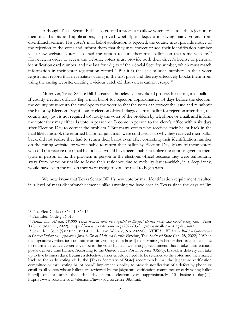Although Texas Senate Bill 1 also created a process to allow voters to "cure" the rejection of their mail ballots and applications, it proved woefully inadequate in saving many voters from disenfranchisement. If a voter's mail ballot application is rejected, the county must provide notice of the rejection to the voter and inform them that they may correct or add their identification number via a new website; voters also had the option to cure their mail ballots on that same website.<sup>13</sup> However, in order to access the website, voters must provide both their driver's license or personal identification card number, and the last four digits of their Social Security number, which must match information in their voter registration record.<sup>14</sup> But it is the lack of such numbers in their voter registration record that necessitates curing in the first place and thereby effectively blocks them from using the curing website, creating a vicious catch-22 that voters cannot escape.<sup>15</sup>

Moreover, Texas Senate Bill 1 created a hopelessly convoluted process for curing mail ballots. If county election officials flag a mail ballot for rejection approximately 14 days before the election, the county must return the envelope to the voter so that the voter can correct the issue and re-submit the ballot by Election Day; if county election officials flagged a mail ballot for rejection after then, the county may (but is not required to) notify the voter of the problem by telephone or email, and inform the voter they may either 1) vote in person or 2) come in person to the clerk's office within six days after Election Day to correct the problem.<sup>16</sup> But many voters who received their ballot back in the mail likely mistook the returned ballot for junk mail, were confused as to why they received their ballot back, did not realize they had to return their ballot even after correcting their identification number on the curing website, or were unable to return their ballot by Election Day. Many of those voters who did not receive their mail ballot back would have been unable to utilize the options given to them (vote in person or fix the problem in person in the elections office) because they were temporarily away from home or unable to leave their residence due to mobility issues–which, in a deep irony, would have been the reason they were trying to vote by mail to begin with.

We now know that Texas Senate Bill 1's new vote by mail identification requirement resulted in a level of mass disenfranchisement unlike anything we have seen in Texas since the days of Jim

<sup>13</sup> Tex. Elec. Code §§ 86.001, 86.015.

<sup>14</sup> Tex. Elec. Code § 86.015.

<sup>15</sup> Alexa Ura, *At least 18,000 Texas mail-in votes were rejected in the first election under new GOP voting rules*, Texas Tribune (Mar. 11, 2022), https://www.texastribune.org/2022/03/11/texas-mail-in-voting-lawsuit/.

<sup>16</sup> Tex. Elec. Code §§ 87.0271, 87.0411; Election Advisory No. 2022-08, *NEW LAW: Senate Bill 1 – Opportunity to Correct Defects on Application for a Ballot by Mail and Carrier Envelope*, Tex. Sec'y of State (Jan. 28, 2022) ("When the [signature verification committee or early voting ballot board] is determining whether there is adequate time to return a defective carrier envelope to the voter by mail, we strongly recommend that it takes into account postal delivery time frames. According to the United States Postal Service (USPS), first-class delivery can take up to five business days. Because a defective carrier envelope needs to be returned to the voter, and then mailed back to the early voting clerk, the [Texas Secretary of State] recommends that the [signature verification committee or early voting ballot board] implement a policy to provide notification of a defect by phone or email to all voters whose ballots are reviewed by the [signature verification committee or early voting ballot board] on or after the 14th day before election day (approximately 10 business days)."), https://www.sos.state.tx.us/elections/laws/advisory2022-08.shtml.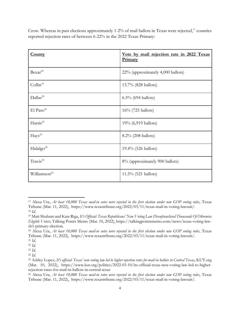Crow. Whereas in past elections approximately 1-2% of mail ballots in Texas were rejected,<sup>17</sup> counties reported rejection rates of between 6-22% in the 2022 Texas Primary:

| <b>County</b>            | Vote by mail rejection rate in 2022 Texas<br>Primary |
|--------------------------|------------------------------------------------------|
| Bexar <sup>18</sup>      | 22% (approximately 4,000 ballots)                    |
| Collin <sup>19</sup>     | 13.7% (828 ballots)                                  |
| Dallas <sup>20</sup>     | $6.5\%$ (694 ballots)                                |
| El Paso <sup>21</sup>    | 16% (725 ballots)                                    |
| Harris <sup>22</sup>     | 19% (6,919 ballots)                                  |
| $Hays^{23}$              | 8.2% (208 ballots)                                   |
| Hidalgo <sup>24</sup>    | 19.4% (526 ballots)                                  |
| Travis <sup>25</sup>     | 8% (approximately 900 ballots)                       |
| Williamson <sup>26</sup> | 11.5% (521 ballots)                                  |

<sup>17</sup> Alexa Ura, *At least 18,000 Texas mail-in votes were rejected in the first election under new GOP voting rules*, Texas Tribune (Mar. 11, 2022), https://www.texastribune.org/2022/03/11/texas-mail-in-voting-lawsuit/. <sup>18</sup> *Id*.

<sup>19</sup> Matt Shuham and Kate Riga, *It's Official: Texas Republicans' New Voting Law Disenfranchised Thousands Of Otherwise Eligible Voters*, Talking Points Memo (Mar. 10, 2022), https://talkingpointsmemo.com/news/texas-voting-lawsb1-primary-election.

<sup>20</sup> Alexa Ura, *At least 18,000 Texas mail-in votes were rejected in the first election under new GOP voting rules*, Texas Tribune (Mar. 11, 2022), https://www.texastribune.org/2022/03/11/texas-mail-in-voting-lawsuit/.

<sup>21</sup> *Id*.

<sup>22</sup> *Id*.

<sup>23</sup> *Id*.

<sup>24</sup> *Id*.

<sup>25</sup> Ashley Lopez, *It's official: Texas' new voting law led to higher rejection rates for mail-in ballots in Central Texas*, KUT.org (Mar. 10, 2022), https://www.kut.org/politics/2022-03-10/its-official-texas-new-voting-law-led-to-higherrejection-rates-for-mail-in-ballots-in-central-texas

<sup>26</sup> Alexa Ura, *At least 18,000 Texas mail-in votes were rejected in the first election under new GOP voting rules*, Texas Tribune (Mar. 11, 2022), https://www.texastribune.org/2022/03/11/texas-mail-in-voting-lawsuit/.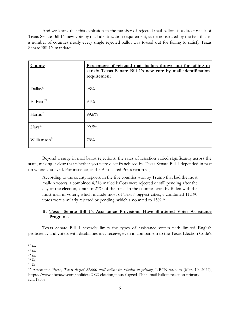And we know that this explosion in the number of rejected mail ballots is a direct result of Texas Senate Bill 1's new vote by mail identification requirement, as demonstrated by the fact that in a number of counties nearly every single rejected ballot was tossed out for failing to satisfy Texas Senate Bill 1's mandate:

| County                   | Percentage of rejected mail ballots thrown out for failing to<br>satisfy Texas Senate Bill 1's new vote by mail identification<br>requirement |
|--------------------------|-----------------------------------------------------------------------------------------------------------------------------------------------|
| Dallas <sup>27</sup>     | 98%                                                                                                                                           |
| El Paso <sup>28</sup>    | 94%                                                                                                                                           |
| Harris <sup>29</sup>     | 99.6%                                                                                                                                         |
| $Hays^{30}$              | $99.5\%$                                                                                                                                      |
| Williamson <sup>31</sup> | 73%                                                                                                                                           |

Beyond a surge in mail ballot rejections, the rates of rejection varied significantly across the state, making it clear that whether you were disenfranchised by Texas Senate Bill 1 depended in part on where you lived. For instance, as the Associated Press reported,

According to the county reports, in the five counties won by Trump that had the most mail-in voters, a combined 4,216 mailed ballots were rejected or still pending after the day of the election, a rate of 21% of the total. In the counties won by Biden with the most mail-in voters, which include most of Texas' biggest cities, a combined 11,190 votes were similarly rejected or pending, which amounted to 13%.<sup>32</sup>

## **B. Texas Senate Bill 1's Assistance Provisions Have Shuttered Voter Assistance Programs**

Texas Senate Bill 1 severely limits the types of assistance voters with limited English proficiency and voters with disabilities may receive, even in comparison to the Texas Election Code's

 $\overline{\phantom{a}}$ <sup>27</sup> *Id*.

<sup>28</sup> *Id*.

<sup>29</sup> *Id*.

<sup>30</sup> *Id*.

<sup>31</sup> *Id*.

<sup>32</sup> Associated Press, *Texas flagged 27,000 mail ballots for rejection in primary*, NBCNews.com (Mar. 10, 2022), https://www.nbcnews.com/politics/2022-election/texas-flagged-27000-mail-ballots-rejection-primaryrcna19507.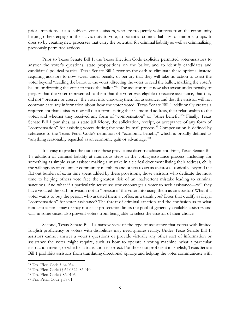prior limitations. It also subjects voter-assistors, who are frequently volunteers from the community helping others engage in their civic duty to vote, to potential criminal liability for minor slip ups. It does so by creating new processes that carry the potential for criminal liability as well as criminalizing previously permitted actions.

Prior to Texas Senate Bill 1, the Texas Election Code explicitly permitted voter-assistors to answer the voter's questions, state propositions on the ballot, and to identify candidates and candidates' political parties. Texas Senate Bill 1 rewrites the oath to eliminate these options, instead requiring assistors to now swear under penalty of perjury that they will take no action to assist the voter beyond "reading the ballot to the voter, directing the voter to read the ballot, marking the voter's ballot, or directing the voter to mark the ballot."<sup>33</sup> The assistor must now also swear under penalty of perjury that the voter represented to them that the voter was eligible to receive assistance, that they did not "pressure or coerce" the voter into choosing them for assistance, and that the assistor will not communicate any information about how the voter voted. Texas Senate Bill 1 additionally creates a requirement that assistors now fill out a form stating their name and address, their relationship to the voter, and whether they received any form of "compensation" or "other benefit."<sup>34</sup> Finally, Texas Senate Bill 1 punishes, as a state jail felony, the solicitation, receipt, or acceptance of any form of "compensation" for assisting voters during the vote by mail process.<sup>35</sup> Compensation is defined by reference to the Texas Penal Code's definition of "economic benefit," which is broadly defined as "anything reasonably regarded as an economic gain or advantage."<sup>36</sup>

It is easy to predict the outcome these provisions: disenfranchisement. First, Texas Senate Bill 1's addition of criminal liability at numerous steps in the voting-assistance process, including for something as simple as an assistor making a mistake in a clerical document listing their address, chills the willingness of volunteer community members and others to act as assistors. Ironically, beyond the flat out burden of extra time spent added by these provisions, those assistors who dedicate the most time to helping others vote face the greatest risk of an inadvertent mistake leading to criminal sanctions. And what if a particularly active assistor encourages a voter to seek assistance—will they have violated the oath provision not to "pressure" the voter into using them as an assistor? What if a voter wants to buy the person who assisted them a coffee, as a thank you? Does that qualify as illegal "compensation" for voter assistance? The threat of criminal sanction and the confusion as to what innocent actions may or may not elicit prosecution limits the pool of generally available assistors and will, in some cases, also prevent voters from being able to select the assistor of their choice.

Second, Texas Senate Bill 1's narrow view of the type of assistance that voters with limited English proficiency or voters with disabilities may need ignores reality. Under Texas Senate Bill 1, assistors cannot answer a voter's questions or provide virtually any other sort of information or assistance the voter might require, such as how to operate a voting machine, what a particular instruction means, or whether a translation is correct. For those not proficient in English, Texas Senate Bill 1 prohibits assistors from translating directional signage and helping the voter communicate with

<sup>33</sup> Tex. Elec. Code § 64.034.

<sup>34</sup> Tex. Elec. Code §§ 64.0322, 86.010.

<sup>35</sup> Tex. Elec. Code § 86.0105.

<sup>36</sup> Tex. Penal Code § 38.01.